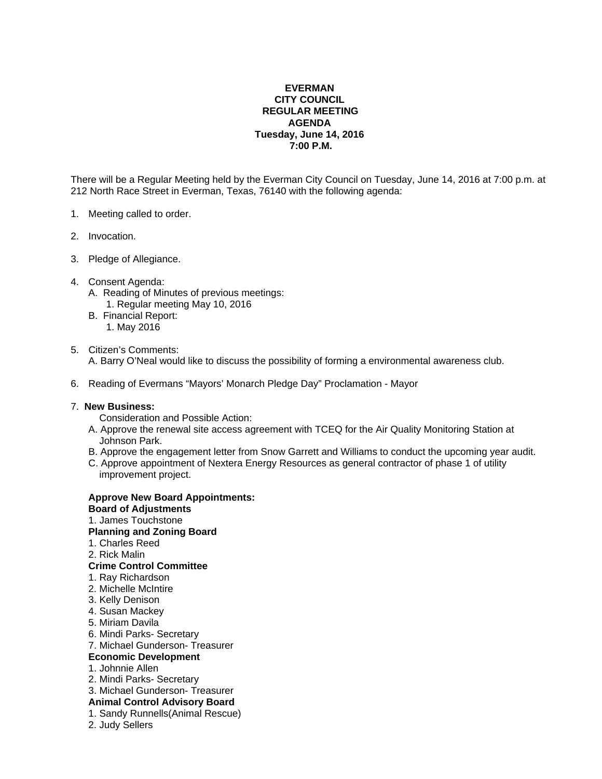## **EVERMAN CITY COUNCIL REGULAR MEETING AGENDA Tuesday, June 14, 2016 7:00 P.M.**

There will be a Regular Meeting held by the Everman City Council on Tuesday, June 14, 2016 at 7:00 p.m. at 212 North Race Street in Everman, Texas, 76140 with the following agenda:

- 1. Meeting called to order.
- 2. Invocation.
- 3. Pledge of Allegiance.
- 4. Consent Agenda:
	- A. Reading of Minutes of previous meetings: 1. Regular meeting May 10, 2016
	- B. Financial Report: 1. May 2016
- 5. Citizen's Comments: A. Barry O'Neal would like to discuss the possibility of forming a environmental awareness club.
- 6. Reading of Evermans "Mayors' Monarch Pledge Day" Proclamation Mayor

## 7. **New Business:**

- Consideration and Possible Action:
- A. Approve the renewal site access agreement with TCEQ for the Air Quality Monitoring Station at Johnson Park.
- B. Approve the engagement letter from Snow Garrett and Williams to conduct the upcoming year audit.
- C. Approve appointment of Nextera Energy Resources as general contractor of phase 1 of utility improvement project.

| <b>Approve New Board Appointments:</b> |  |
|----------------------------------------|--|
| <b>Board of Adjustments</b>            |  |
| 1. James Touchstone                    |  |
| <b>Planning and Zoning Board</b>       |  |
| 1. Charles Reed                        |  |
| 2. Rick Malin                          |  |
| <b>Crime Control Committee</b>         |  |
| 1. Ray Richardson                      |  |
| 2. Michelle McIntire                   |  |
| 3. Kelly Denison                       |  |
| 4. Susan Mackey                        |  |
| 5. Miriam Davila                       |  |
| 6. Mindi Parks- Secretary              |  |
| 7. Michael Gunderson- Treasurer        |  |
| <b>Economic Development</b>            |  |
| 1. Johnnie Allen                       |  |
| 2. Mindi Parks- Secretary              |  |
| 3. Michael Gunderson- Treasurer        |  |
| <b>Animal Control Advisory Board</b>   |  |
| 1. Sandy Runnells (Animal Rescue)      |  |
| 2. Judy Sellers                        |  |
|                                        |  |
|                                        |  |